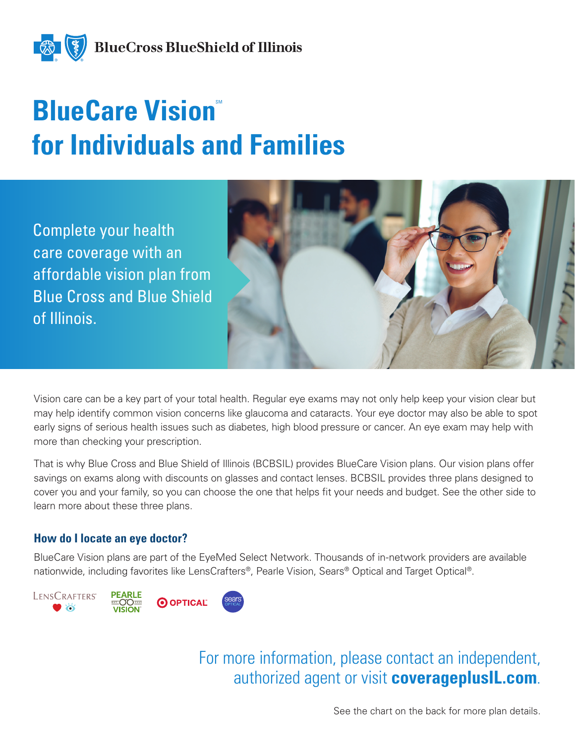

# **BlueCare Vision for Individuals and Families**

Complete your health care coverage with an affordable vision plan from Blue Cross and Blue Shield of Illinois.



Vision care can be a key part of your total health. Regular eye exams may not only help keep your vision clear but may help identify common vision concerns like glaucoma and cataracts. Your eye doctor may also be able to spot early signs of serious health issues such as diabetes, high blood pressure or cancer. An eye exam may help with more than checking your prescription.

That is why Blue Cross and Blue Shield of Illinois (BCBSIL) provides BlueCare Vision plans. Our vision plans offer savings on exams along with discounts on glasses and contact lenses. BCBSIL provides three plans designed to cover you and your family, so you can choose the one that helps fit your needs and budget. See the other side to learn more about these three plans.

#### **How do I locate an eye doctor?**

BlueCare Vision plans are part of the EyeMed Select Network. Thousands of in-network providers are available nationwide, including favorites like LensCrafters®, Pearle Vision, Sears® Optical and Target Optical®.



For more information, please contact an independent, authorized agent or visit **coverageplusIL.com**.

See the chart on the back for more plan details.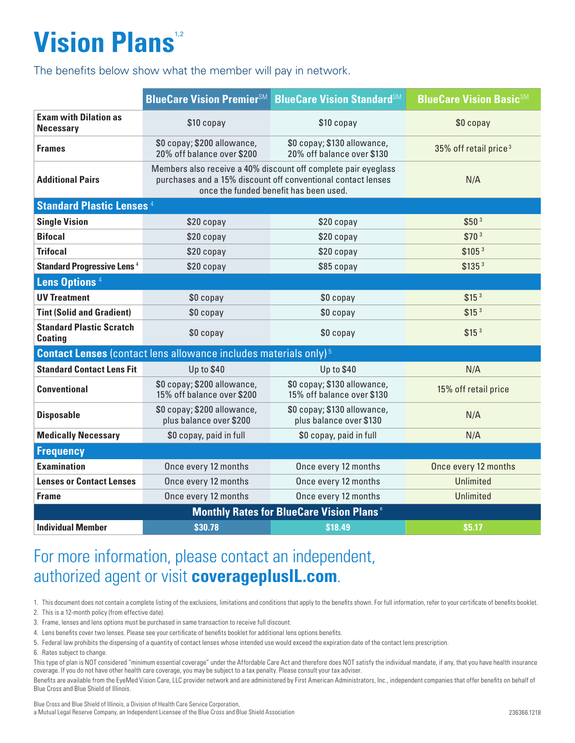## **Vision Plans**<sup>1,2</sup>

The benefits below show what the member will pay in network.

|                                                                                     | <b>BlueCare Vision Premier</b> SM                                                                                                                                        | <b>BlueCare Vision StandardSM</b>                         | <b>BlueCare Vision BasicSM</b>    |  |
|-------------------------------------------------------------------------------------|--------------------------------------------------------------------------------------------------------------------------------------------------------------------------|-----------------------------------------------------------|-----------------------------------|--|
| <b>Exam with Dilation as</b><br><b>Necessary</b>                                    | \$10 copay                                                                                                                                                               | \$10 copay                                                | \$0 copay                         |  |
| <b>Frames</b>                                                                       | \$0 copay; \$200 allowance,<br>20% off balance over \$200                                                                                                                | \$0 copay; \$130 allowance,<br>20% off balance over \$130 | 35% off retail price <sup>3</sup> |  |
| <b>Additional Pairs</b>                                                             | Members also receive a 40% discount off complete pair eyeglass<br>purchases and a 15% discount off conventional contact lenses<br>once the funded benefit has been used. |                                                           | N/A                               |  |
| <b>Standard Plastic Lenses 4</b>                                                    |                                                                                                                                                                          |                                                           |                                   |  |
| <b>Single Vision</b>                                                                | \$20 copay                                                                                                                                                               | \$20 copay                                                | \$50 <sup>3</sup>                 |  |
| <b>Bifocal</b>                                                                      | \$20 copay                                                                                                                                                               | \$20 copay                                                | \$70 <sup>3</sup>                 |  |
| <b>Trifocal</b>                                                                     | \$20 copay                                                                                                                                                               | \$20 copay                                                | \$105 <sup>3</sup>                |  |
| <b>Standard Progressive Lens<sup>4</sup></b>                                        | \$20 copay                                                                                                                                                               | \$85 copay                                                | \$135 <sup>3</sup>                |  |
| Lens Options <sup>4</sup>                                                           |                                                                                                                                                                          |                                                           |                                   |  |
| <b>UV Treatment</b>                                                                 | \$0 copay                                                                                                                                                                | \$0 copay                                                 | \$15 <sup>3</sup>                 |  |
| <b>Tint (Solid and Gradient)</b>                                                    | \$0 copay                                                                                                                                                                | \$0 copay                                                 | \$15 <sup>3</sup>                 |  |
| <b>Standard Plastic Scratch</b><br><b>Coating</b>                                   | \$0 copay                                                                                                                                                                | \$0 copay                                                 | \$15 <sup>3</sup>                 |  |
| <b>Contact Lenses</b> (contact lens allowance includes materials only) <sup>5</sup> |                                                                                                                                                                          |                                                           |                                   |  |
| <b>Standard Contact Lens Fit</b>                                                    | <b>Up to \$40</b>                                                                                                                                                        | <b>Up to \$40</b>                                         | N/A                               |  |
| <b>Conventional</b>                                                                 | \$0 copay; \$200 allowance,<br>15% off balance over \$200                                                                                                                | \$0 copay; \$130 allowance,<br>15% off balance over \$130 | 15% off retail price              |  |
| <b>Disposable</b>                                                                   | \$0 copay; \$200 allowance,<br>plus balance over \$200                                                                                                                   | \$0 copay; \$130 allowance,<br>plus balance over \$130    | N/A                               |  |
| <b>Medically Necessary</b>                                                          | \$0 copay, paid in full                                                                                                                                                  | \$0 copay, paid in full                                   | N/A                               |  |
| <b>Frequency</b>                                                                    |                                                                                                                                                                          |                                                           |                                   |  |
| <b>Examination</b>                                                                  | Once every 12 months                                                                                                                                                     | Once every 12 months                                      | Once every 12 months              |  |
| <b>Lenses or Contact Lenses</b>                                                     | Once every 12 months                                                                                                                                                     | Once every 12 months                                      | <b>Unlimited</b>                  |  |
| <b>Frame</b>                                                                        | Once every 12 months                                                                                                                                                     | Once every 12 months                                      | <b>Unlimited</b>                  |  |
| <b>Monthly Rates for BlueCare Vision Plans</b> <sup>6</sup>                         |                                                                                                                                                                          |                                                           |                                   |  |
| <b>Individual Member</b>                                                            | \$30.78                                                                                                                                                                  | \$18.49                                                   | \$5.17                            |  |

### For more information, please contact an independent, authorized agent or visit **coverageplusIL.com**.

1. This document does not contain a complete listing of the exclusions, limitations and conditions that apply to the benefits shown. For full information, refer to your certificate of benefits booklet.

2. This is a 12-month policy (from effective date).

3. Frame, lenses and lens options must be purchased in same transaction to receive full discount.

4. Lens benefits cover two lenses. Please see your certificate of benefits booklet for additional lens options benefits.

- 5. Federal law prohibits the dispensing of a quantity of contact lenses whose intended use would exceed the expiration date of the contact lens prescription.
- 6. Rates subject to change.

This type of plan is NOT considered "minimum essential coverage" under the Affordable Care Act and therefore does NOT satisfy the individual mandate, if any, that you have health insurance coverage. If you do not have other health care coverage, you may be subject to a tax penalty. Please consult your tax adviser.

Benefits are available from the EyeMed Vision Care, LLC provider network and are administered by First American Administrators, Inc., independent companies that offer benefits on behalf of Blue Cross and Blue Shield of Illinois.

Blue Cross and Blue Shield of Illinois, a Division of Health Care Service Corporation, a Mutual Legal Reserve Company, an Independent Licensee of the Blue Cross and Blue Shield Association 236366.1218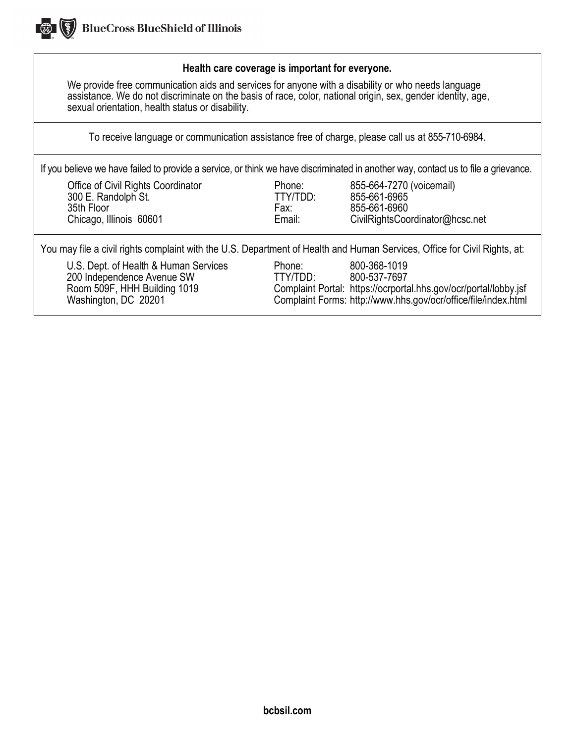

#### **Health care coverage is important for everyone.**

We provide free communication aids and services for anyone with a disability or who needs language assistance. We do not discriminate on the basis of race, color, national origin, sex, gender identity, age, sexual orientation, health status or disability.

To receive language or communication assistance free of charge, please call us at 855-710-6984.

If you believe we have failed to provide a service, or think we have discriminated in another way, contact us to file a grievance.

| Office of Civil Rights Coordinator |  |
|------------------------------------|--|
| 300 E. Randolph St.                |  |
| 35th Floor                         |  |
| Chicago. Illinois 60601            |  |

Phone: 855-664-7270 (voicemail)<br>TTY/TDD: 855-661-6965 TTY/TDD: 855-661-6965<br>Fax: 855-661-6960 Fax: 855-661-6960<br>
Email: CivilRightsCoo go, Illinois 60601 **Email:** CivilRightsCoordinator@hcsc.net

You may file a civil rights complaint with the U.S. Department of Health and Human Services, Office for Civil Rights, at:

U.S. Dept. of Health & Human Services Phone: 800-368-1019 200 Independence Avenue SW TTY/TDD: 800-537-7697<br>Room 509F, HHH Building 1019 Complaint Portal: https://ocrporta

Complaint Portal: https://ocrportal.hhs.gov/ocr/portal/lobby.jsf Washington, DC 20201 Complaint Forms: http:/[/www.hhs.gov/ocr/office/file/index.html](http://www.hhs.gov/ocr/office/file/index.html)